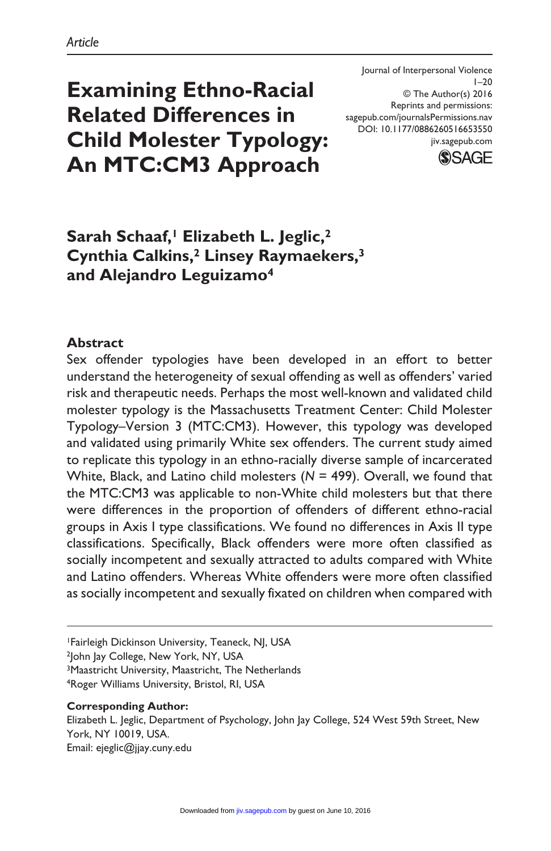# **Examining Ethno-Racial Related Differences in Child Molester Typology: An MTC:CM3 Approach**

Journal of Interpersonal Violence  $1 - 20$ © The Author(s) 2016 Reprints and permissions: sagepub.com/journalsPermissions.nav DOI: 10.1177/0886260516653550 jiv.sagepub.com



# Sarah Schaaf,<sup>1</sup> Elizabeth L. Jeglic,<sup>2</sup> **Cynthia Calkins,2 Linsey Raymaekers,3 and Alejandro Leguizamo4**

### **Abstract**

Sex offender typologies have been developed in an effort to better understand the heterogeneity of sexual offending as well as offenders' varied risk and therapeutic needs. Perhaps the most well-known and validated child molester typology is the Massachusetts Treatment Center: Child Molester Typology–Version 3 (MTC:CM3). However, this typology was developed and validated using primarily White sex offenders. The current study aimed to replicate this typology in an ethno-racially diverse sample of incarcerated White, Black, and Latino child molesters (*N* = 499). Overall, we found that the MTC:CM3 was applicable to non-White child molesters but that there were differences in the proportion of offenders of different ethno-racial groups in Axis I type classifications. We found no differences in Axis II type classifications. Specifically, Black offenders were more often classified as socially incompetent and sexually attracted to adults compared with White and Latino offenders. Whereas White offenders were more often classified as socially incompetent and sexually fixated on children when compared with

1Fairleigh Dickinson University, Teaneck, NJ, USA

<sup>2</sup>John Jay College, New York, NY, USA

3Maastricht University, Maastricht, The Netherlands 4Roger Williams University, Bristol, RI, USA

#### **Corresponding Author:**

Elizabeth L. Jeglic, Department of Psychology, John Jay College, 524 West 59th Street, New York, NY 10019, USA. Email: [ejeglic@jjay.cuny.edu](mailto:ejeglic@jjay.cuny.edu)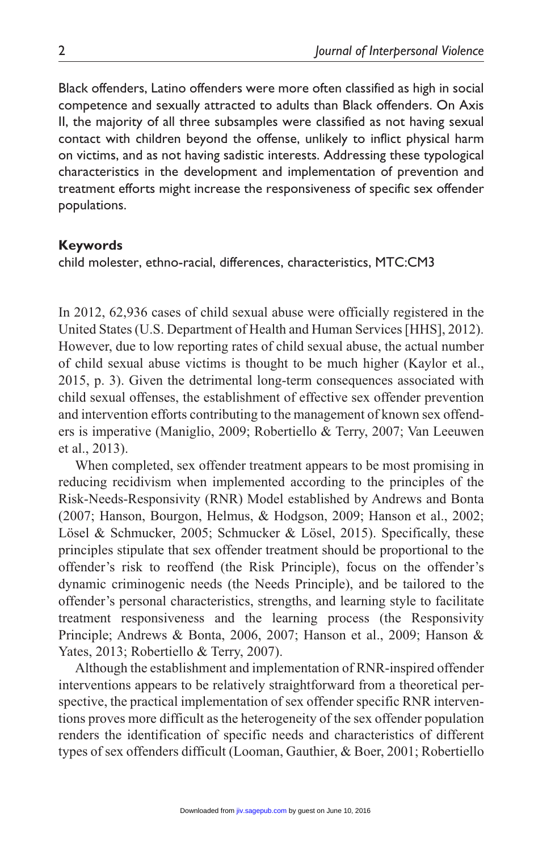Black offenders, Latino offenders were more often classified as high in social competence and sexually attracted to adults than Black offenders. On Axis II, the majority of all three subsamples were classified as not having sexual contact with children beyond the offense, unlikely to inflict physical harm on victims, and as not having sadistic interests. Addressing these typological characteristics in the development and implementation of prevention and treatment efforts might increase the responsiveness of specific sex offender populations.

### **Keywords**

child molester, ethno-racial, differences, characteristics, MTC:CM3

In 2012, 62,936 cases of child sexual abuse were officially registered in the United States (U.S. Department of Health and Human Services [HHS], 2012). However, due to low reporting rates of child sexual abuse, the actual number of child sexual abuse victims is thought to be much higher (Kaylor et al., 2015, p. 3). Given the detrimental long-term consequences associated with child sexual offenses, the establishment of effective sex offender prevention and intervention efforts contributing to the management of known sex offenders is imperative (Maniglio, 2009; Robertiello & Terry, 2007; Van Leeuwen et al., 2013).

When completed, sex offender treatment appears to be most promising in reducing recidivism when implemented according to the principles of the Risk-Needs-Responsivity (RNR) Model established by Andrews and Bonta (2007; Hanson, Bourgon, Helmus, & Hodgson, 2009; Hanson et al., 2002; Lösel & Schmucker, 2005; Schmucker & Lösel, 2015). Specifically, these principles stipulate that sex offender treatment should be proportional to the offender's risk to reoffend (the Risk Principle), focus on the offender's dynamic criminogenic needs (the Needs Principle), and be tailored to the offender's personal characteristics, strengths, and learning style to facilitate treatment responsiveness and the learning process (the Responsivity Principle; Andrews & Bonta, 2006, 2007; Hanson et al., 2009; Hanson & Yates, 2013; Robertiello & Terry, 2007).

Although the establishment and implementation of RNR-inspired offender interventions appears to be relatively straightforward from a theoretical perspective, the practical implementation of sex offender specific RNR interventions proves more difficult as the heterogeneity of the sex offender population renders the identification of specific needs and characteristics of different types of sex offenders difficult (Looman, Gauthier, & Boer, 2001; Robertiello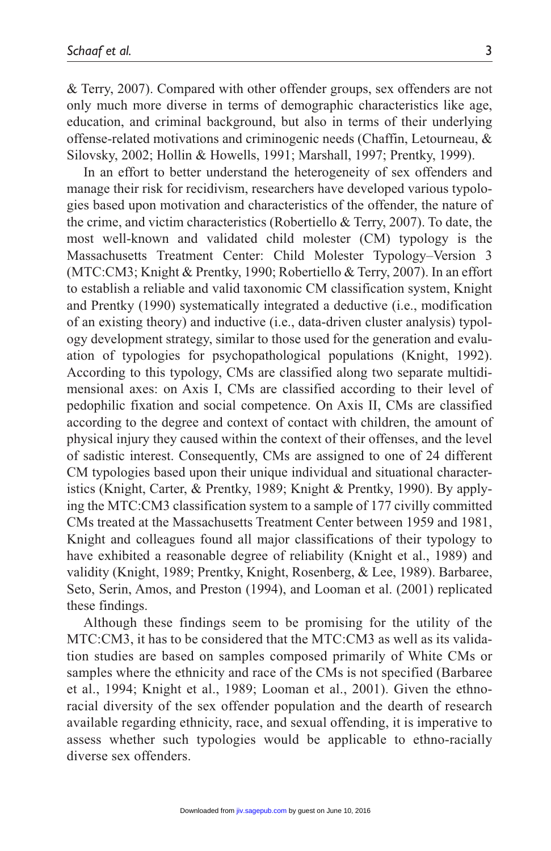& Terry, 2007). Compared with other offender groups, sex offenders are not only much more diverse in terms of demographic characteristics like age, education, and criminal background, but also in terms of their underlying offense-related motivations and criminogenic needs (Chaffin, Letourneau, & Silovsky, 2002; Hollin & Howells, 1991; Marshall, 1997; Prentky, 1999).

In an effort to better understand the heterogeneity of sex offenders and manage their risk for recidivism, researchers have developed various typologies based upon motivation and characteristics of the offender, the nature of the crime, and victim characteristics (Robertiello & Terry, 2007). To date, the most well-known and validated child molester (CM) typology is the Massachusetts Treatment Center: Child Molester Typology–Version 3 (MTC:CM3; Knight & Prentky, 1990; Robertiello & Terry, 2007). In an effort to establish a reliable and valid taxonomic CM classification system, Knight and Prentky (1990) systematically integrated a deductive (i.e., modification of an existing theory) and inductive (i.e., data-driven cluster analysis) typology development strategy, similar to those used for the generation and evaluation of typologies for psychopathological populations (Knight, 1992). According to this typology, CMs are classified along two separate multidimensional axes: on Axis I, CMs are classified according to their level of pedophilic fixation and social competence. On Axis II, CMs are classified according to the degree and context of contact with children, the amount of physical injury they caused within the context of their offenses, and the level of sadistic interest. Consequently, CMs are assigned to one of 24 different CM typologies based upon their unique individual and situational characteristics (Knight, Carter, & Prentky, 1989; Knight & Prentky, 1990). By applying the MTC:CM3 classification system to a sample of 177 civilly committed CMs treated at the Massachusetts Treatment Center between 1959 and 1981, Knight and colleagues found all major classifications of their typology to have exhibited a reasonable degree of reliability (Knight et al., 1989) and validity (Knight, 1989; Prentky, Knight, Rosenberg, & Lee, 1989). Barbaree, Seto, Serin, Amos, and Preston (1994), and Looman et al. (2001) replicated these findings.

Although these findings seem to be promising for the utility of the MTC:CM3, it has to be considered that the MTC:CM3 as well as its validation studies are based on samples composed primarily of White CMs or samples where the ethnicity and race of the CMs is not specified (Barbaree et al., 1994; Knight et al., 1989; Looman et al., 2001). Given the ethnoracial diversity of the sex offender population and the dearth of research available regarding ethnicity, race, and sexual offending, it is imperative to assess whether such typologies would be applicable to ethno-racially diverse sex offenders.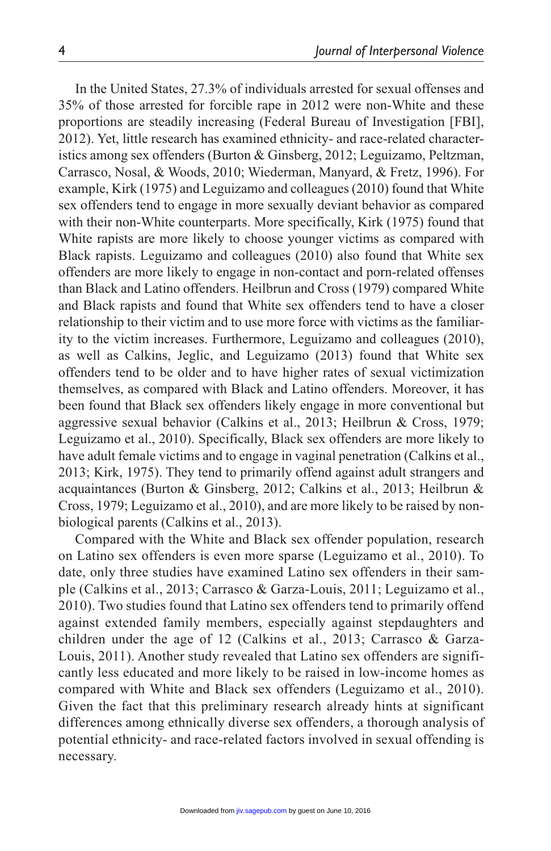In the United States, 27.3% of individuals arrested for sexual offenses and 35% of those arrested for forcible rape in 2012 were non-White and these proportions are steadily increasing (Federal Bureau of Investigation [FBI], 2012). Yet, little research has examined ethnicity- and race-related characteristics among sex offenders (Burton & Ginsberg, 2012; Leguizamo, Peltzman, Carrasco, Nosal, & Woods, 2010; Wiederman, Manyard, & Fretz, 1996). For example, Kirk (1975) and Leguizamo and colleagues (2010) found that White sex offenders tend to engage in more sexually deviant behavior as compared with their non-White counterparts. More specifically, Kirk (1975) found that White rapists are more likely to choose younger victims as compared with Black rapists. Leguizamo and colleagues (2010) also found that White sex offenders are more likely to engage in non-contact and porn-related offenses than Black and Latino offenders. Heilbrun and Cross (1979) compared White and Black rapists and found that White sex offenders tend to have a closer relationship to their victim and to use more force with victims as the familiarity to the victim increases. Furthermore, Leguizamo and colleagues (2010), as well as Calkins, Jeglic, and Leguizamo (2013) found that White sex offenders tend to be older and to have higher rates of sexual victimization themselves, as compared with Black and Latino offenders. Moreover, it has been found that Black sex offenders likely engage in more conventional but aggressive sexual behavior (Calkins et al., 2013; Heilbrun & Cross, 1979; Leguizamo et al., 2010). Specifically, Black sex offenders are more likely to have adult female victims and to engage in vaginal penetration (Calkins et al., 2013; Kirk, 1975). They tend to primarily offend against adult strangers and acquaintances (Burton & Ginsberg, 2012; Calkins et al., 2013; Heilbrun & Cross, 1979; Leguizamo et al., 2010), and are more likely to be raised by nonbiological parents (Calkins et al., 2013).

Compared with the White and Black sex offender population, research on Latino sex offenders is even more sparse (Leguizamo et al., 2010). To date, only three studies have examined Latino sex offenders in their sample (Calkins et al., 2013; Carrasco & Garza-Louis, 2011; Leguizamo et al., 2010). Two studies found that Latino sex offenders tend to primarily offend against extended family members, especially against stepdaughters and children under the age of 12 (Calkins et al., 2013; Carrasco & Garza-Louis, 2011). Another study revealed that Latino sex offenders are significantly less educated and more likely to be raised in low-income homes as compared with White and Black sex offenders (Leguizamo et al., 2010). Given the fact that this preliminary research already hints at significant differences among ethnically diverse sex offenders, a thorough analysis of potential ethnicity- and race-related factors involved in sexual offending is necessary.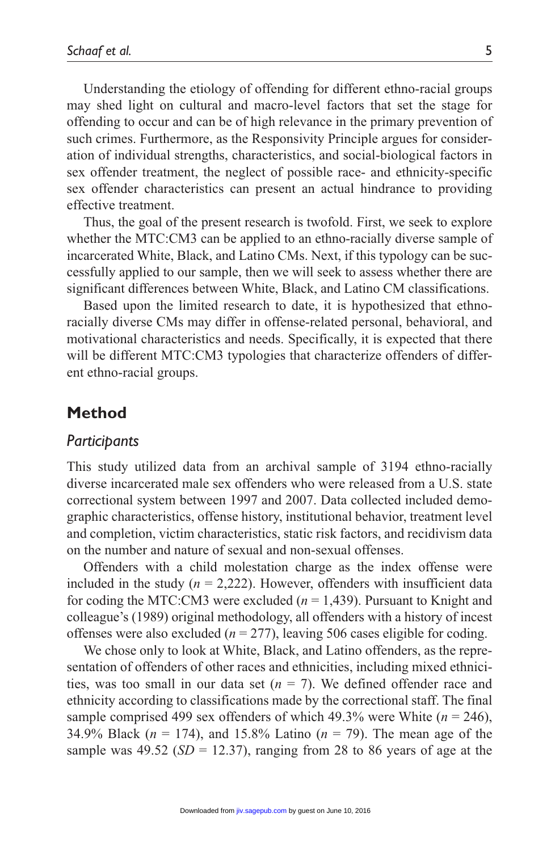Understanding the etiology of offending for different ethno-racial groups may shed light on cultural and macro-level factors that set the stage for offending to occur and can be of high relevance in the primary prevention of such crimes. Furthermore, as the Responsivity Principle argues for consideration of individual strengths, characteristics, and social-biological factors in sex offender treatment, the neglect of possible race- and ethnicity-specific sex offender characteristics can present an actual hindrance to providing effective treatment.

Thus, the goal of the present research is twofold. First, we seek to explore whether the MTC:CM3 can be applied to an ethno-racially diverse sample of incarcerated White, Black, and Latino CMs. Next, if this typology can be successfully applied to our sample, then we will seek to assess whether there are significant differences between White, Black, and Latino CM classifications.

Based upon the limited research to date, it is hypothesized that ethnoracially diverse CMs may differ in offense-related personal, behavioral, and motivational characteristics and needs. Specifically, it is expected that there will be different MTC:CM3 typologies that characterize offenders of different ethno-racial groups.

### **Method**

### *Participants*

This study utilized data from an archival sample of 3194 ethno-racially diverse incarcerated male sex offenders who were released from a U.S. state correctional system between 1997 and 2007. Data collected included demographic characteristics, offense history, institutional behavior, treatment level and completion, victim characteristics, static risk factors, and recidivism data on the number and nature of sexual and non-sexual offenses.

Offenders with a child molestation charge as the index offense were included in the study  $(n = 2,222)$ . However, offenders with insufficient data for coding the MTC:CM3 were excluded (*n* = 1,439). Pursuant to Knight and colleague's (1989) original methodology, all offenders with a history of incest offenses were also excluded  $(n = 277)$ , leaving 506 cases eligible for coding.

We chose only to look at White, Black, and Latino offenders, as the representation of offenders of other races and ethnicities, including mixed ethnicities, was too small in our data set  $(n = 7)$ . We defined offender race and ethnicity according to classifications made by the correctional staff. The final sample comprised 499 sex offenders of which 49.3% were White  $(n = 246)$ , 34.9% Black (*n* = 174), and 15.8% Latino (*n* = 79). The mean age of the sample was  $49.52$  ( $SD = 12.37$ ), ranging from 28 to 86 years of age at the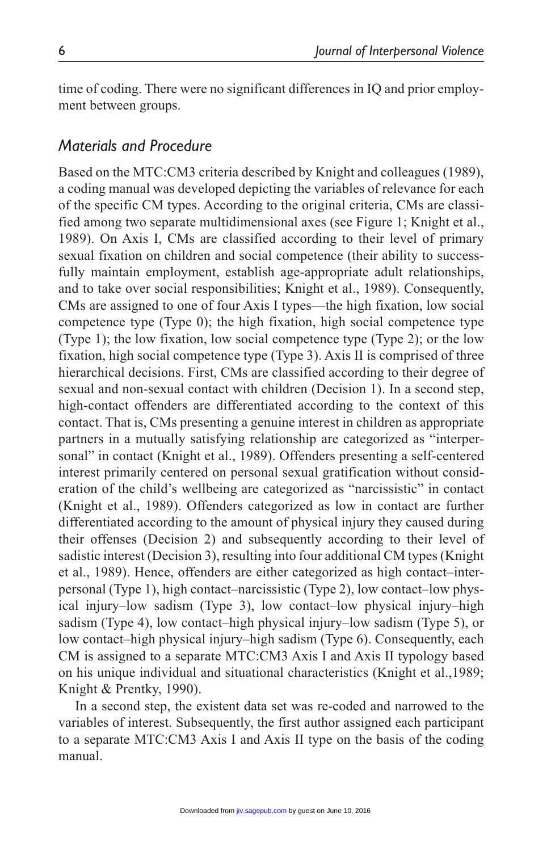time of coding. There were no significant differences in IQ and prior employment between groups.

## *Materials and Procedure*

Based on the MTC:CM3 criteria described by Knight and colleagues (1989), a coding manual was developed depicting the variables of relevance for each of the specific CM types. According to the original criteria, CMs are classified among two separate multidimensional axes (see Figure 1; Knight et al., 1989). On Axis I, CMs are classified according to their level of primary sexual fixation on children and social competence (their ability to successfully maintain employment, establish age-appropriate adult relationships, and to take over social responsibilities; Knight et al., 1989). Consequently, CMs are assigned to one of four Axis I types—the high fixation, low social competence type (Type 0); the high fixation, high social competence type (Type 1); the low fixation, low social competence type (Type 2); or the low fixation, high social competence type (Type 3). Axis II is comprised of three hierarchical decisions. First, CMs are classified according to their degree of sexual and non-sexual contact with children (Decision 1). In a second step, high-contact offenders are differentiated according to the context of this contact. That is, CMs presenting a genuine interest in children as appropriate partners in a mutually satisfying relationship are categorized as "interpersonal" in contact (Knight et al., 1989). Offenders presenting a self-centered interest primarily centered on personal sexual gratification without consideration of the child's wellbeing are categorized as "narcissistic" in contact (Knight et al., 1989). Offenders categorized as low in contact are further differentiated according to the amount of physical injury they caused during their offenses (Decision 2) and subsequently according to their level of sadistic interest (Decision 3), resulting into four additional CM types (Knight et al., 1989). Hence, offenders are either categorized as high contact–interpersonal (Type 1), high contact–narcissistic (Type 2), low contact–low physical injury–low sadism (Type 3), low contact–low physical injury–high sadism (Type 4), low contact–high physical injury–low sadism (Type 5), or low contact–high physical injury–high sadism (Type 6). Consequently, each CM is assigned to a separate MTC:CM3 Axis I and Axis II typology based on his unique individual and situational characteristics (Knight et al.,1989; Knight & Prentky, 1990).

In a second step, the existent data set was re-coded and narrowed to the variables of interest. Subsequently, the first author assigned each participant to a separate MTC:CM3 Axis I and Axis II type on the basis of the coding manual.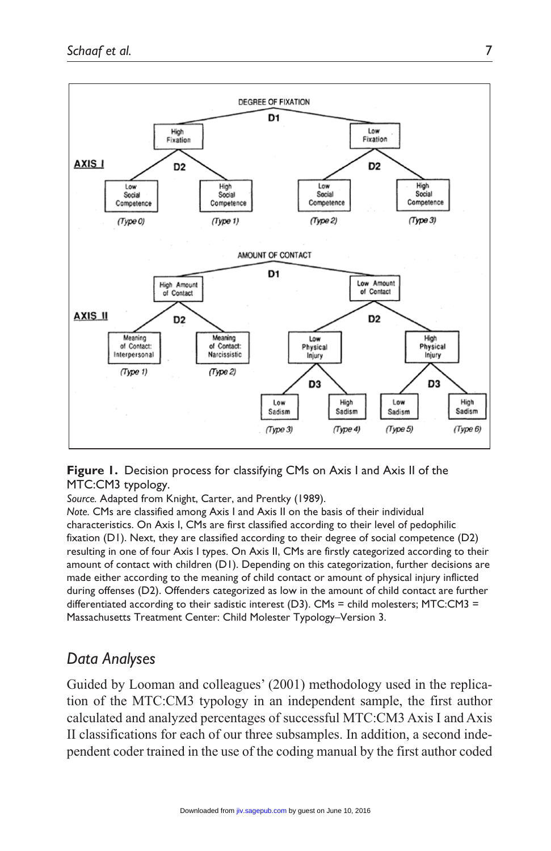

**Figure 1.** Decision process for classifying CMs on Axis I and Axis II of the MTC:CM3 typology.

*Source.* Adapted from Knight, Carter, and Prentky (1989).

*Note.* CMs are classified among Axis I and Axis II on the basis of their individual characteristics. On Axis I, CMs are first classified according to their level of pedophilic fixation (D1). Next, they are classified according to their degree of social competence (D2) resulting in one of four Axis I types. On Axis II, CMs are firstly categorized according to their amount of contact with children (D1). Depending on this categorization, further decisions are made either according to the meaning of child contact or amount of physical injury inflicted during offenses (D2). Offenders categorized as low in the amount of child contact are further differentiated according to their sadistic interest (D3). CMs = child molesters; MTC:CM3 = Massachusetts Treatment Center: Child Molester Typology–Version 3.

# *Data Analyses*

Guided by Looman and colleagues' (2001) methodology used in the replication of the MTC:CM3 typology in an independent sample, the first author calculated and analyzed percentages of successful MTC:CM3 Axis I and Axis II classifications for each of our three subsamples. In addition, a second independent coder trained in the use of the coding manual by the first author coded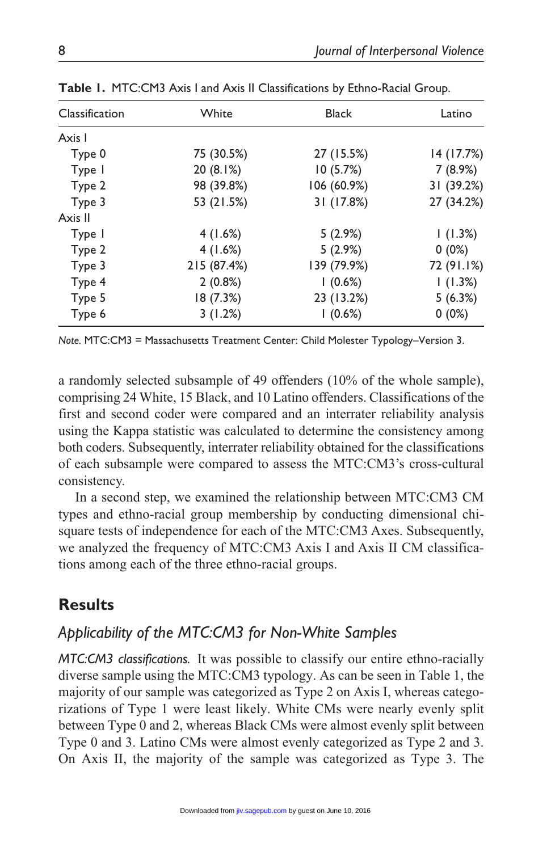| Classification | White       | <b>Black</b> | Latino     |
|----------------|-------------|--------------|------------|
| Axis I         |             |              |            |
| Type 0         | 75 (30.5%)  | 27 (15.5%)   | 14 (17.7%) |
| Type I         | 20(8.1%)    | 10(5.7%)     | 7(8.9%)    |
| Type 2         | 98 (39.8%)  | 106 (60.9%)  | 31 (39.2%) |
| Type 3         | 53 (21.5%)  | 31 (17.8%)   | 27 (34.2%) |
| Axis II        |             |              |            |
| Type I         | 4(1.6%)     | 5(2.9%)      | (1.3%)     |
| Type 2         | 4(1.6%)     | 5(2.9%)      | $0(0\%)$   |
| Type 3         | 215 (87.4%) | 139 (79.9%)  | 72 (91.1%) |
| Type 4         | 2(0.8%)     | 1(0.6%)      | 1(1.3%)    |
| Type 5         | 18(7.3%)    | 23 (13.2%)   | 5(6.3%)    |
| Type 6         | 3(1.2%)     | $(0.6\%)$    | $0(0\%)$   |

**Table 1.** MTC:CM3 Axis I and Axis II Classifications by Ethno-Racial Group.

*Note.* MTC:CM3 = Massachusetts Treatment Center: Child Molester Typology–Version 3.

a randomly selected subsample of 49 offenders (10% of the whole sample), comprising 24 White, 15 Black, and 10 Latino offenders. Classifications of the first and second coder were compared and an interrater reliability analysis using the Kappa statistic was calculated to determine the consistency among both coders. Subsequently, interrater reliability obtained for the classifications of each subsample were compared to assess the MTC:CM3's cross-cultural consistency.

In a second step, we examined the relationship between MTC:CM3 CM types and ethno-racial group membership by conducting dimensional chisquare tests of independence for each of the MTC:CM3 Axes. Subsequently, we analyzed the frequency of MTC:CM3 Axis I and Axis II CM classifications among each of the three ethno-racial groups.

# **Results**

# *Applicability of the MTC:CM3 for Non-White Samples*

*MTC:CM3 classifications.* It was possible to classify our entire ethno-racially diverse sample using the MTC:CM3 typology. As can be seen in Table 1, the majority of our sample was categorized as Type 2 on Axis I, whereas categorizations of Type 1 were least likely. White CMs were nearly evenly split between Type 0 and 2, whereas Black CMs were almost evenly split between Type 0 and 3. Latino CMs were almost evenly categorized as Type 2 and 3. On Axis II, the majority of the sample was categorized as Type 3. The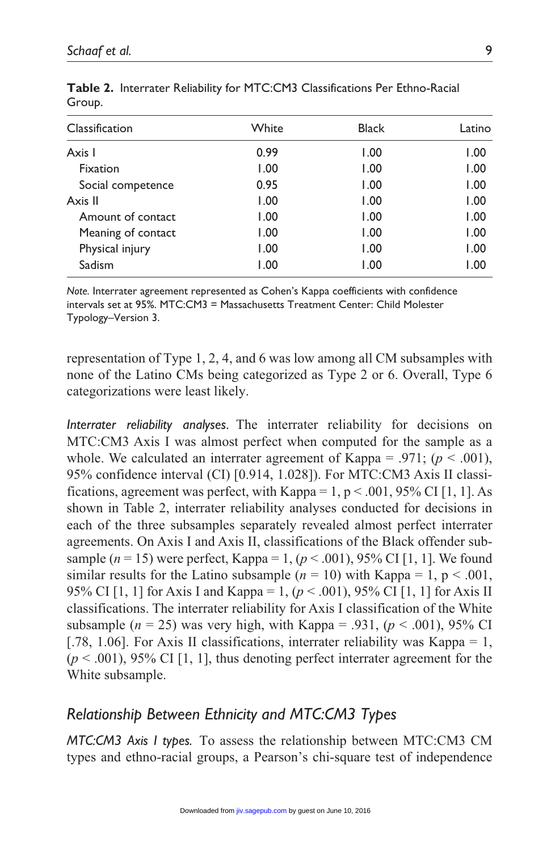| Classification     | White | <b>Black</b> | Latino |
|--------------------|-------|--------------|--------|
| Axis I             | 0.99  | 1.00         | 1.00   |
| Fixation           | 1.00  | 1.00         | 1.00   |
| Social competence  | 0.95  | 1.00         | 1.00   |
| Axis II            | 1.00  | 1.00         | 1.00   |
| Amount of contact  | 1.00  | 1.00         | 1.00   |
| Meaning of contact | 1.00  | 1.00         | 1.00   |
| Physical injury    | 1.00  | 1.00         | 1.00   |
| Sadism             | 1.00  | 1.00         | 1.00   |

**Table 2.** Interrater Reliability for MTC:CM3 Classifications Per Ethno-Racial Group.

*Note.* Interrater agreement represented as Cohen's Kappa coefficients with confidence intervals set at 95%. MTC:CM3 = Massachusetts Treatment Center: Child Molester Typology–Version 3.

representation of Type 1, 2, 4, and 6 was low among all CM subsamples with none of the Latino CMs being categorized as Type 2 or 6. Overall, Type 6 categorizations were least likely.

*Interrater reliability analyses.* The interrater reliability for decisions on MTC:CM3 Axis I was almost perfect when computed for the sample as a whole. We calculated an interrater agreement of Kappa = .971;  $(p < .001)$ , 95% confidence interval (CI) [0.914, 1.028]). For MTC:CM3 Axis II classifications, agreement was perfect, with Kappa =  $1, p < .001, 95\%$  CI [1, 1]. As shown in Table 2, interrater reliability analyses conducted for decisions in each of the three subsamples separately revealed almost perfect interrater agreements. On Axis I and Axis II, classifications of the Black offender subsample  $(n = 15)$  were perfect, Kappa = 1,  $(p < .001)$ , 95% CI [1, 1]. We found similar results for the Latino subsample  $(n = 10)$  with Kappa = 1, p < .001, 95% CI [1, 1] for Axis I and Kappa = 1, (*p* < .001), 95% CI [1, 1] for Axis II classifications. The interrater reliability for Axis I classification of the White subsample ( $n = 25$ ) was very high, with Kappa = .931, ( $p < .001$ ), 95% CI [.78, 1.06]. For Axis II classifications, interrater reliability was Kappa = 1,  $(p < .001)$ , 95% CI [1, 1], thus denoting perfect interrater agreement for the White subsample.

# *Relationship Between Ethnicity and MTC:CM3 Types*

*MTC:CM3 Axis I types.* To assess the relationship between MTC:CM3 CM types and ethno-racial groups, a Pearson's chi-square test of independence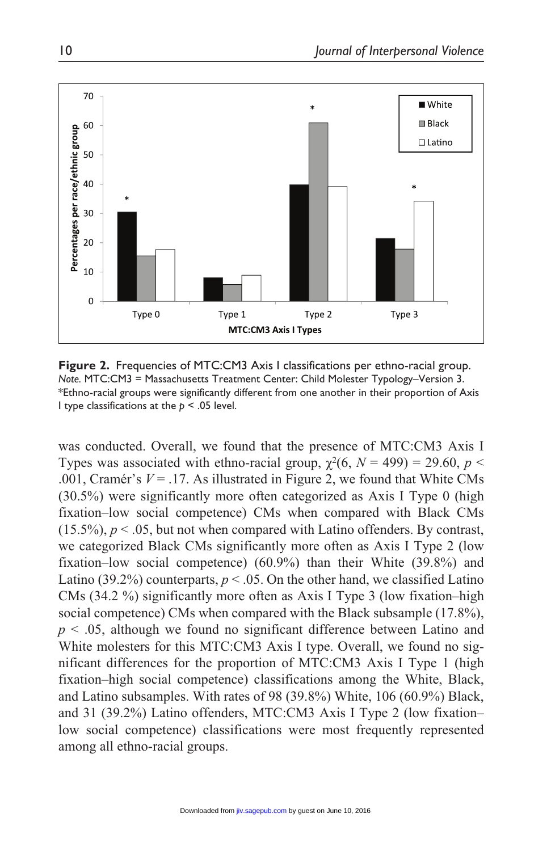

**Figure 2.** Frequencies of MTC:CM3 Axis I classifications per ethno-racial group. *Note.* MTC:CM3 = Massachusetts Treatment Center: Child Molester Typology–Version 3. \*Ethno-racial groups were significantly different from one another in their proportion of Axis I type classifications at the *p* < .05 level.

was conducted. Overall, we found that the presence of MTC:CM3 Axis I Types was associated with ethno-racial group,  $\chi^2(6, N = 499) = 29.60$ ,  $p <$ .001, Cramér's  $V = 0.17$ . As illustrated in Figure 2, we found that White CMs. (30.5%) were significantly more often categorized as Axis I Type 0 (high fixation–low social competence) CMs when compared with Black CMs  $(15.5\%)$ ,  $p < .05$ , but not when compared with Latino offenders. By contrast, we categorized Black CMs significantly more often as Axis I Type 2 (low fixation–low social competence) (60.9%) than their White (39.8%) and Latino (39.2%) counterparts,  $p < .05$ . On the other hand, we classified Latino CMs (34.2 %) significantly more often as Axis I Type 3 (low fixation–high social competence) CMs when compared with the Black subsample (17.8%), *p* < .05, although we found no significant difference between Latino and White molesters for this MTC:CM3 Axis I type. Overall, we found no significant differences for the proportion of MTC:CM3 Axis I Type 1 (high fixation–high social competence) classifications among the White, Black, and Latino subsamples. With rates of 98 (39.8%) White, 106 (60.9%) Black, and 31 (39.2%) Latino offenders, MTC:CM3 Axis I Type 2 (low fixation– low social competence) classifications were most frequently represented among all ethno-racial groups.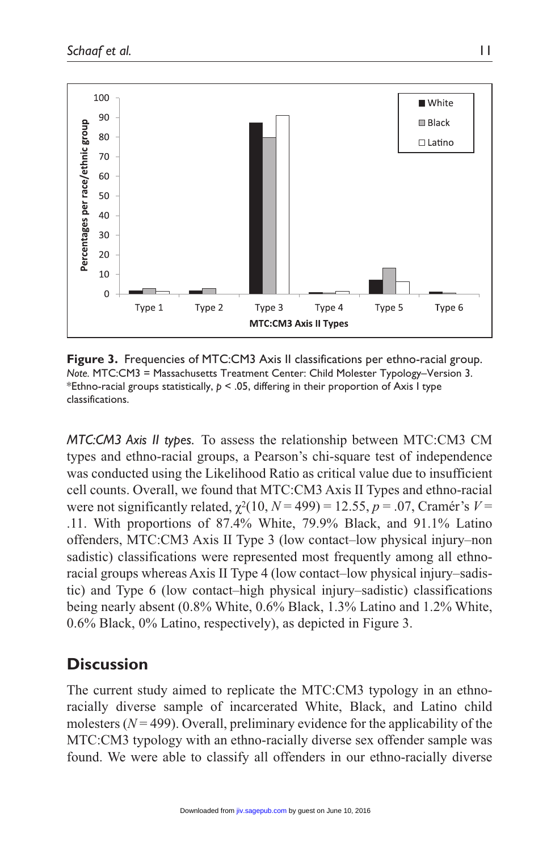

**Figure 3.** Frequencies of MTC:CM3 Axis II classifications per ethno-racial group. *Note.* MTC:CM3 = Massachusetts Treatment Center: Child Molester Typology–Version 3. \*Ethno-racial groups statistically, *p* < .05, differing in their proportion of Axis I type classifications.

*MTC:CM3 Axis II types.* To assess the relationship between MTC:CM3 CM types and ethno-racial groups, a Pearson's chi-square test of independence was conducted using the Likelihood Ratio as critical value due to insufficient cell counts. Overall, we found that MTC:CM3 Axis II Types and ethno-racial were not significantly related,  $\chi^2(10, N = 499) = 12.55$ ,  $p = .07$ , Cramér's  $V =$ .11. With proportions of 87.4% White, 79.9% Black, and 91.1% Latino offenders, MTC:CM3 Axis II Type 3 (low contact–low physical injury–non sadistic) classifications were represented most frequently among all ethnoracial groups whereas Axis II Type 4 (low contact–low physical injury–sadistic) and Type 6 (low contact–high physical injury–sadistic) classifications being nearly absent (0.8% White, 0.6% Black, 1.3% Latino and 1.2% White, 0.6% Black, 0% Latino, respectively), as depicted in Figure 3.

# **Discussion**

The current study aimed to replicate the MTC:CM3 typology in an ethnoracially diverse sample of incarcerated White, Black, and Latino child molesters  $(N = 499)$ . Overall, preliminary evidence for the applicability of the MTC:CM3 typology with an ethno-racially diverse sex offender sample was found. We were able to classify all offenders in our ethno-racially diverse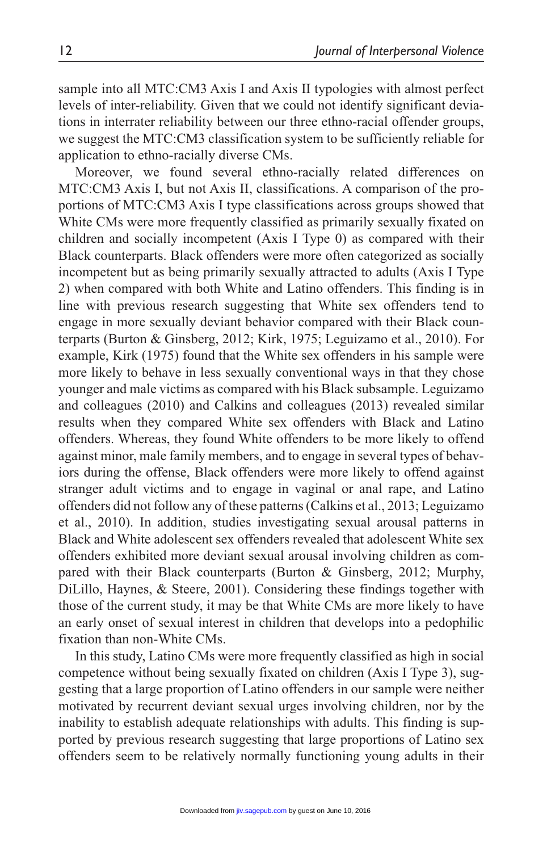sample into all MTC:CM3 Axis I and Axis II typologies with almost perfect levels of inter-reliability. Given that we could not identify significant deviations in interrater reliability between our three ethno-racial offender groups, we suggest the MTC:CM3 classification system to be sufficiently reliable for application to ethno-racially diverse CMs.

Moreover, we found several ethno-racially related differences on MTC:CM3 Axis I, but not Axis II, classifications. A comparison of the proportions of MTC:CM3 Axis I type classifications across groups showed that White CMs were more frequently classified as primarily sexually fixated on children and socially incompetent (Axis I Type 0) as compared with their Black counterparts. Black offenders were more often categorized as socially incompetent but as being primarily sexually attracted to adults (Axis I Type 2) when compared with both White and Latino offenders. This finding is in line with previous research suggesting that White sex offenders tend to engage in more sexually deviant behavior compared with their Black counterparts (Burton & Ginsberg, 2012; Kirk, 1975; Leguizamo et al., 2010). For example, Kirk (1975) found that the White sex offenders in his sample were more likely to behave in less sexually conventional ways in that they chose younger and male victims as compared with his Black subsample. Leguizamo and colleagues (2010) and Calkins and colleagues (2013) revealed similar results when they compared White sex offenders with Black and Latino offenders. Whereas, they found White offenders to be more likely to offend against minor, male family members, and to engage in several types of behaviors during the offense, Black offenders were more likely to offend against stranger adult victims and to engage in vaginal or anal rape, and Latino offenders did not follow any of these patterns (Calkins et al., 2013; Leguizamo et al., 2010). In addition, studies investigating sexual arousal patterns in Black and White adolescent sex offenders revealed that adolescent White sex offenders exhibited more deviant sexual arousal involving children as compared with their Black counterparts (Burton & Ginsberg, 2012; Murphy, DiLillo, Haynes, & Steere, 2001). Considering these findings together with those of the current study, it may be that White CMs are more likely to have an early onset of sexual interest in children that develops into a pedophilic fixation than non-White CMs.

In this study, Latino CMs were more frequently classified as high in social competence without being sexually fixated on children (Axis I Type 3), suggesting that a large proportion of Latino offenders in our sample were neither motivated by recurrent deviant sexual urges involving children, nor by the inability to establish adequate relationships with adults. This finding is supported by previous research suggesting that large proportions of Latino sex offenders seem to be relatively normally functioning young adults in their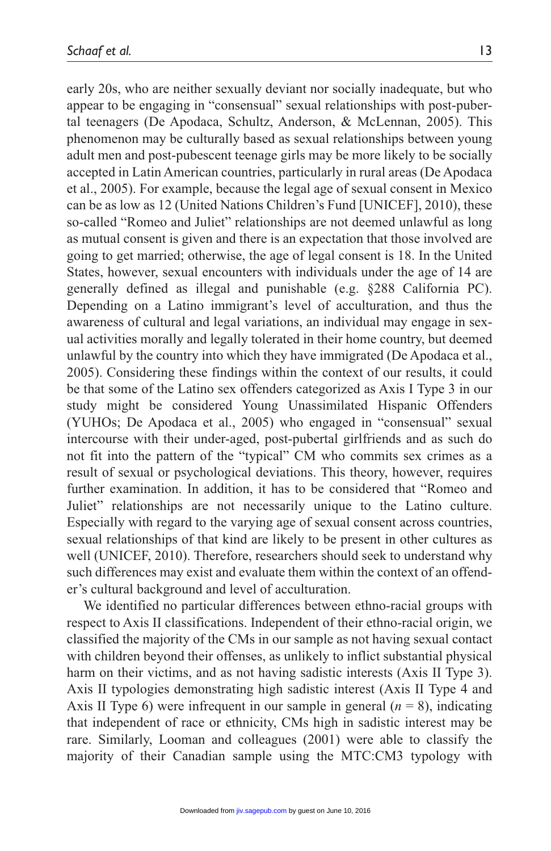early 20s, who are neither sexually deviant nor socially inadequate, but who appear to be engaging in "consensual" sexual relationships with post-pubertal teenagers (De Apodaca, Schultz, Anderson, & McLennan, 2005). This phenomenon may be culturally based as sexual relationships between young adult men and post-pubescent teenage girls may be more likely to be socially accepted in Latin American countries, particularly in rural areas (De Apodaca et al., 2005). For example, because the legal age of sexual consent in Mexico can be as low as 12 (United Nations Children's Fund [UNICEF], 2010), these so-called "Romeo and Juliet" relationships are not deemed unlawful as long as mutual consent is given and there is an expectation that those involved are going to get married; otherwise, the age of legal consent is 18. In the United States, however, sexual encounters with individuals under the age of 14 are generally defined as illegal and punishable (e.g. §288 California PC). Depending on a Latino immigrant's level of acculturation, and thus the awareness of cultural and legal variations, an individual may engage in sexual activities morally and legally tolerated in their home country, but deemed unlawful by the country into which they have immigrated (De Apodaca et al., 2005). Considering these findings within the context of our results, it could be that some of the Latino sex offenders categorized as Axis I Type 3 in our study might be considered Young Unassimilated Hispanic Offenders (YUHOs; De Apodaca et al., 2005) who engaged in "consensual" sexual intercourse with their under-aged, post-pubertal girlfriends and as such do not fit into the pattern of the "typical" CM who commits sex crimes as a result of sexual or psychological deviations. This theory, however, requires further examination. In addition, it has to be considered that "Romeo and Juliet" relationships are not necessarily unique to the Latino culture. Especially with regard to the varying age of sexual consent across countries, sexual relationships of that kind are likely to be present in other cultures as well (UNICEF, 2010). Therefore, researchers should seek to understand why such differences may exist and evaluate them within the context of an offender's cultural background and level of acculturation.

We identified no particular differences between ethno-racial groups with respect to Axis II classifications. Independent of their ethno-racial origin, we classified the majority of the CMs in our sample as not having sexual contact with children beyond their offenses, as unlikely to inflict substantial physical harm on their victims, and as not having sadistic interests (Axis II Type 3). Axis II typologies demonstrating high sadistic interest (Axis II Type 4 and Axis II Type 6) were infrequent in our sample in general  $(n = 8)$ , indicating that independent of race or ethnicity, CMs high in sadistic interest may be rare. Similarly, Looman and colleagues (2001) were able to classify the majority of their Canadian sample using the MTC:CM3 typology with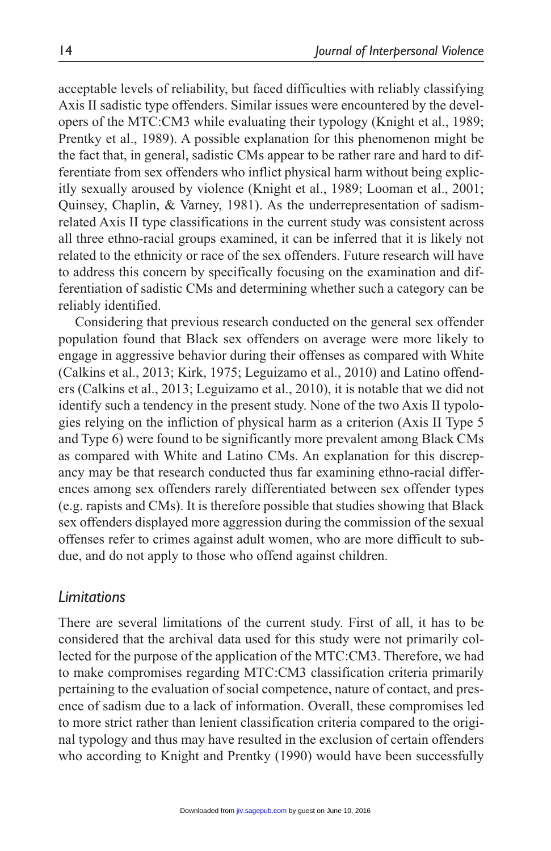acceptable levels of reliability, but faced difficulties with reliably classifying Axis II sadistic type offenders. Similar issues were encountered by the developers of the MTC:CM3 while evaluating their typology (Knight et al., 1989; Prentky et al., 1989). A possible explanation for this phenomenon might be the fact that, in general, sadistic CMs appear to be rather rare and hard to differentiate from sex offenders who inflict physical harm without being explicitly sexually aroused by violence (Knight et al., 1989; Looman et al., 2001; Quinsey, Chaplin, & Varney, 1981). As the underrepresentation of sadismrelated Axis II type classifications in the current study was consistent across all three ethno-racial groups examined, it can be inferred that it is likely not related to the ethnicity or race of the sex offenders. Future research will have to address this concern by specifically focusing on the examination and differentiation of sadistic CMs and determining whether such a category can be reliably identified.

Considering that previous research conducted on the general sex offender population found that Black sex offenders on average were more likely to engage in aggressive behavior during their offenses as compared with White (Calkins et al., 2013; Kirk, 1975; Leguizamo et al., 2010) and Latino offenders (Calkins et al., 2013; Leguizamo et al., 2010), it is notable that we did not identify such a tendency in the present study. None of the two Axis II typologies relying on the infliction of physical harm as a criterion (Axis II Type 5 and Type 6) were found to be significantly more prevalent among Black CMs as compared with White and Latino CMs. An explanation for this discrepancy may be that research conducted thus far examining ethno-racial differences among sex offenders rarely differentiated between sex offender types (e.g. rapists and CMs). It is therefore possible that studies showing that Black sex offenders displayed more aggression during the commission of the sexual offenses refer to crimes against adult women, who are more difficult to subdue, and do not apply to those who offend against children.

### *Limitations*

There are several limitations of the current study. First of all, it has to be considered that the archival data used for this study were not primarily collected for the purpose of the application of the MTC:CM3. Therefore, we had to make compromises regarding MTC:CM3 classification criteria primarily pertaining to the evaluation of social competence, nature of contact, and presence of sadism due to a lack of information. Overall, these compromises led to more strict rather than lenient classification criteria compared to the original typology and thus may have resulted in the exclusion of certain offenders who according to Knight and Prentky (1990) would have been successfully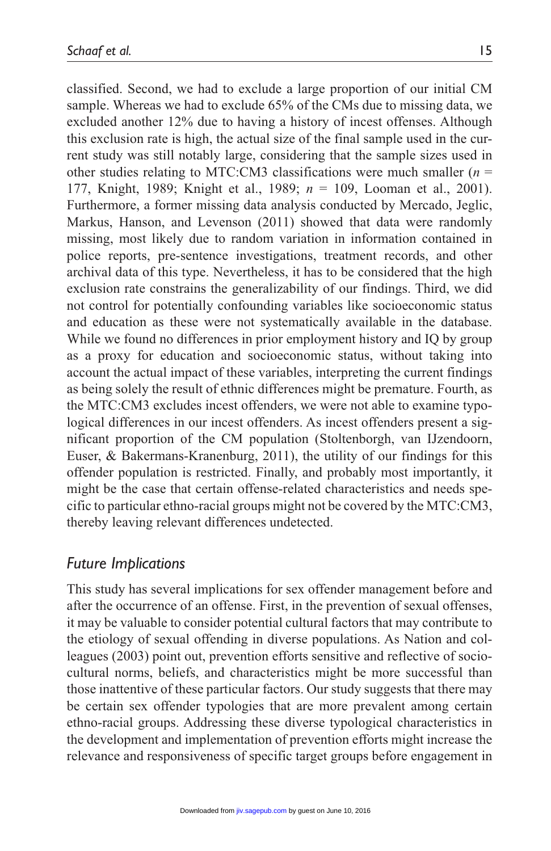classified. Second, we had to exclude a large proportion of our initial CM sample. Whereas we had to exclude 65% of the CMs due to missing data, we excluded another 12% due to having a history of incest offenses. Although this exclusion rate is high, the actual size of the final sample used in the current study was still notably large, considering that the sample sizes used in other studies relating to MTC:CM3 classifications were much smaller (*n* = 177, Knight, 1989; Knight et al., 1989; *n* = 109, Looman et al., 2001). Furthermore, a former missing data analysis conducted by Mercado, Jeglic, Markus, Hanson, and Levenson (2011) showed that data were randomly missing, most likely due to random variation in information contained in police reports, pre-sentence investigations, treatment records, and other archival data of this type. Nevertheless, it has to be considered that the high exclusion rate constrains the generalizability of our findings. Third, we did not control for potentially confounding variables like socioeconomic status and education as these were not systematically available in the database. While we found no differences in prior employment history and IQ by group as a proxy for education and socioeconomic status, without taking into account the actual impact of these variables, interpreting the current findings as being solely the result of ethnic differences might be premature. Fourth, as the MTC:CM3 excludes incest offenders, we were not able to examine typological differences in our incest offenders. As incest offenders present a significant proportion of the CM population (Stoltenborgh, van IJzendoorn, Euser, & Bakermans-Kranenburg, 2011), the utility of our findings for this offender population is restricted. Finally, and probably most importantly, it might be the case that certain offense-related characteristics and needs specific to particular ethno-racial groups might not be covered by the MTC:CM3, thereby leaving relevant differences undetected.

### *Future Implications*

This study has several implications for sex offender management before and after the occurrence of an offense. First, in the prevention of sexual offenses, it may be valuable to consider potential cultural factors that may contribute to the etiology of sexual offending in diverse populations. As Nation and colleagues (2003) point out, prevention efforts sensitive and reflective of sociocultural norms, beliefs, and characteristics might be more successful than those inattentive of these particular factors. Our study suggests that there may be certain sex offender typologies that are more prevalent among certain ethno-racial groups. Addressing these diverse typological characteristics in the development and implementation of prevention efforts might increase the relevance and responsiveness of specific target groups before engagement in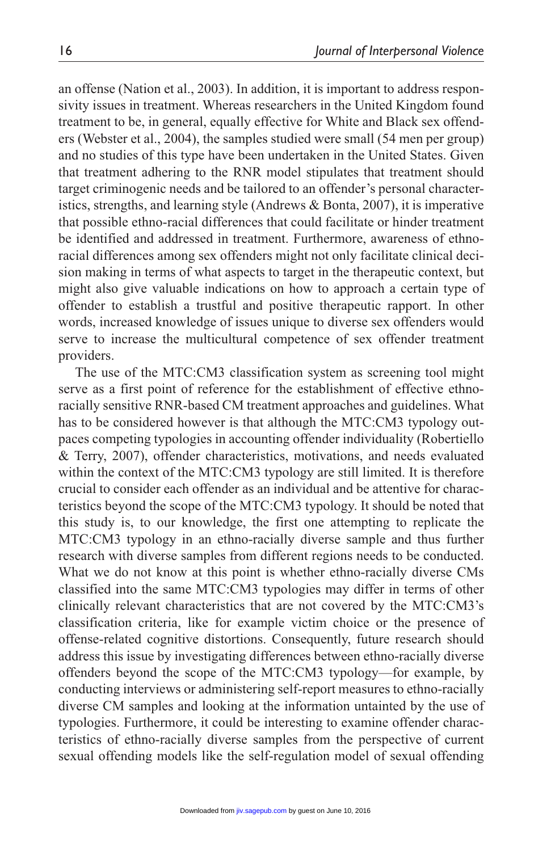an offense (Nation et al., 2003). In addition, it is important to address responsivity issues in treatment. Whereas researchers in the United Kingdom found treatment to be, in general, equally effective for White and Black sex offenders (Webster et al., 2004), the samples studied were small (54 men per group) and no studies of this type have been undertaken in the United States. Given that treatment adhering to the RNR model stipulates that treatment should target criminogenic needs and be tailored to an offender's personal characteristics, strengths, and learning style (Andrews & Bonta, 2007), it is imperative that possible ethno-racial differences that could facilitate or hinder treatment be identified and addressed in treatment. Furthermore, awareness of ethnoracial differences among sex offenders might not only facilitate clinical decision making in terms of what aspects to target in the therapeutic context, but might also give valuable indications on how to approach a certain type of offender to establish a trustful and positive therapeutic rapport. In other words, increased knowledge of issues unique to diverse sex offenders would serve to increase the multicultural competence of sex offender treatment providers.

The use of the MTC:CM3 classification system as screening tool might serve as a first point of reference for the establishment of effective ethnoracially sensitive RNR-based CM treatment approaches and guidelines. What has to be considered however is that although the MTC:CM3 typology outpaces competing typologies in accounting offender individuality (Robertiello & Terry, 2007), offender characteristics, motivations, and needs evaluated within the context of the MTC:CM3 typology are still limited. It is therefore crucial to consider each offender as an individual and be attentive for characteristics beyond the scope of the MTC:CM3 typology. It should be noted that this study is, to our knowledge, the first one attempting to replicate the MTC:CM3 typology in an ethno-racially diverse sample and thus further research with diverse samples from different regions needs to be conducted. What we do not know at this point is whether ethno-racially diverse CMs classified into the same MTC:CM3 typologies may differ in terms of other clinically relevant characteristics that are not covered by the MTC:CM3's classification criteria, like for example victim choice or the presence of offense-related cognitive distortions. Consequently, future research should address this issue by investigating differences between ethno-racially diverse offenders beyond the scope of the MTC:CM3 typology—for example, by conducting interviews or administering self-report measures to ethno-racially diverse CM samples and looking at the information untainted by the use of typologies. Furthermore, it could be interesting to examine offender characteristics of ethno-racially diverse samples from the perspective of current sexual offending models like the self-regulation model of sexual offending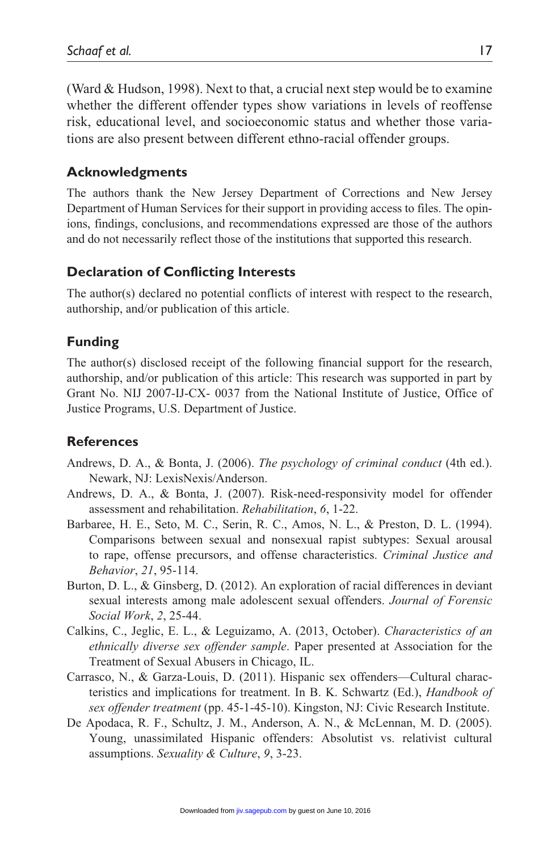(Ward & Hudson, 1998). Next to that, a crucial next step would be to examine whether the different offender types show variations in levels of reoffense risk, educational level, and socioeconomic status and whether those variations are also present between different ethno-racial offender groups.

### **Acknowledgments**

The authors thank the New Jersey Department of Corrections and New Jersey Department of Human Services for their support in providing access to files. The opinions, findings, conclusions, and recommendations expressed are those of the authors and do not necessarily reflect those of the institutions that supported this research.

#### **Declaration of Conflicting Interests**

The author(s) declared no potential conflicts of interest with respect to the research, authorship, and/or publication of this article.

#### **Funding**

The author(s) disclosed receipt of the following financial support for the research, authorship, and/or publication of this article: This research was supported in part by Grant No. NIJ 2007-IJ-CX- 0037 from the National Institute of Justice, Office of Justice Programs, U.S. Department of Justice.

#### **References**

- Andrews, D. A., & Bonta, J. (2006). *The psychology of criminal conduct* (4th ed.). Newark, NJ: LexisNexis/Anderson.
- Andrews, D. A., & Bonta, J. (2007). Risk-need-responsivity model for offender assessment and rehabilitation. *Rehabilitation*, *6*, 1-22.
- Barbaree, H. E., Seto, M. C., Serin, R. C., Amos, N. L., & Preston, D. L. (1994). Comparisons between sexual and nonsexual rapist subtypes: Sexual arousal to rape, offense precursors, and offense characteristics. *Criminal Justice and Behavior*, *21*, 95-114.
- Burton, D. L., & Ginsberg, D. (2012). An exploration of racial differences in deviant sexual interests among male adolescent sexual offenders. *Journal of Forensic Social Work*, *2*, 25-44.
- Calkins, C., Jeglic, E. L., & Leguizamo, A. (2013, October). *Characteristics of an ethnically diverse sex offender sample*. Paper presented at Association for the Treatment of Sexual Abusers in Chicago, IL.
- Carrasco, N., & Garza-Louis, D. (2011). Hispanic sex offenders—Cultural characteristics and implications for treatment. In B. K. Schwartz (Ed.), *Handbook of sex offender treatment* (pp. 45-1-45-10). Kingston, NJ: Civic Research Institute.
- De Apodaca, R. F., Schultz, J. M., Anderson, A. N., & McLennan, M. D. (2005). Young, unassimilated Hispanic offenders: Absolutist vs. relativist cultural assumptions. *Sexuality & Culture*, *9*, 3-23.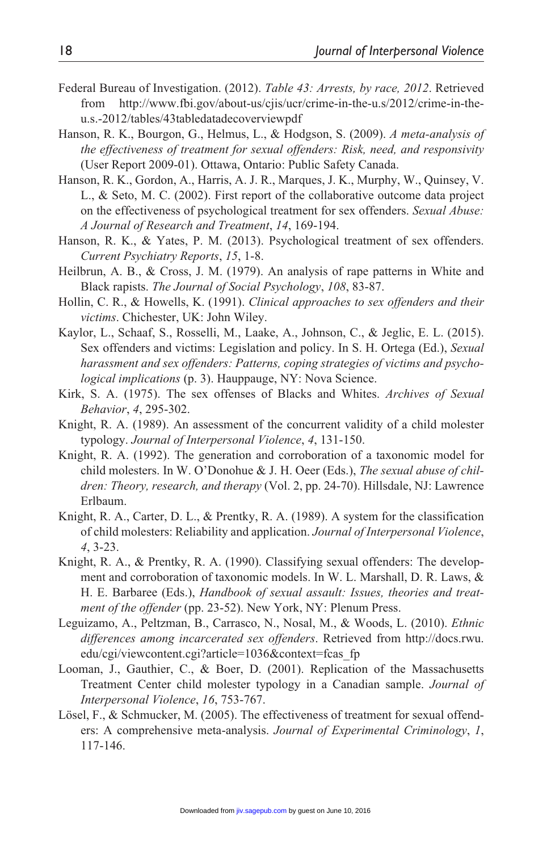- Federal Bureau of Investigation. (2012). *Table 43: Arrests, by race, 2012*. Retrieved from [http://www.fbi.gov/about-us/cjis/ucr/crime-in-the-u.s/2012/crime-in-the](http://www.fbi.gov/about-us/cjis/ucr/crime-in-the-u.s/2012/crime-in-the-u.s.-2012/tables/43tabledatadecoverviewpdf)[u.s.-2012/tables/43tabledatadecoverviewpdf](http://www.fbi.gov/about-us/cjis/ucr/crime-in-the-u.s/2012/crime-in-the-u.s.-2012/tables/43tabledatadecoverviewpdf)
- Hanson, R. K., Bourgon, G., Helmus, L., & Hodgson, S. (2009). *A meta-analysis of the effectiveness of treatment for sexual offenders: Risk, need, and responsivity* (User Report 2009-01). Ottawa, Ontario: Public Safety Canada.
- Hanson, R. K., Gordon, A., Harris, A. J. R., Marques, J. K., Murphy, W., Quinsey, V. L., & Seto, M. C. (2002). First report of the collaborative outcome data project on the effectiveness of psychological treatment for sex offenders. *Sexual Abuse: A Journal of Research and Treatment*, *14*, 169-194.
- Hanson, R. K., & Yates, P. M. (2013). Psychological treatment of sex offenders. *Current Psychiatry Reports*, *15*, 1-8.
- Heilbrun, A. B., & Cross, J. M. (1979). An analysis of rape patterns in White and Black rapists. *The Journal of Social Psychology*, *108*, 83-87.
- Hollin, C. R., & Howells, K. (1991). *Clinical approaches to sex offenders and their victims*. Chichester, UK: John Wiley.
- Kaylor, L., Schaaf, S., Rosselli, M., Laake, A., Johnson, C., & Jeglic, E. L. (2015). Sex offenders and victims: Legislation and policy. In S. H. Ortega (Ed.), *Sexual harassment and sex offenders: Patterns, coping strategies of victims and psychological implications* (p. 3). Hauppauge, NY: Nova Science.
- Kirk, S. A. (1975). The sex offenses of Blacks and Whites. *Archives of Sexual Behavior*, *4*, 295-302.
- Knight, R. A. (1989). An assessment of the concurrent validity of a child molester typology. *Journal of Interpersonal Violence*, *4*, 131-150.
- Knight, R. A. (1992). The generation and corroboration of a taxonomic model for child molesters. In W. O'Donohue & J. H. Oeer (Eds.), *The sexual abuse of children: Theory, research, and therapy* (Vol. 2, pp. 24-70). Hillsdale, NJ: Lawrence Erlbaum.
- Knight, R. A., Carter, D. L., & Prentky, R. A. (1989). A system for the classification of child molesters: Reliability and application. *Journal of Interpersonal Violence*, *4*, 3-23.
- Knight, R. A., & Prentky, R. A. (1990). Classifying sexual offenders: The development and corroboration of taxonomic models. In W. L. Marshall, D. R. Laws, & H. E. Barbaree (Eds.), *Handbook of sexual assault: Issues, theories and treatment of the offender* (pp. 23-52). New York, NY: Plenum Press.
- Leguizamo, A., Peltzman, B., Carrasco, N., Nosal, M., & Woods, L. (2010). *Ethnic differences among incarcerated sex offenders*. Retrieved from [http://docs.rwu.](http://docs.rwu.edu/cgi/viewcontent.cgi?article=1036&context=fcas_fp) [edu/cgi/viewcontent.cgi?article=1036&context=fcas\\_fp](http://docs.rwu.edu/cgi/viewcontent.cgi?article=1036&context=fcas_fp)
- Looman, J., Gauthier, C., & Boer, D. (2001). Replication of the Massachusetts Treatment Center child molester typology in a Canadian sample. *Journal of Interpersonal Violence*, *16*, 753-767.
- Lösel, F., & Schmucker, M. (2005). The effectiveness of treatment for sexual offenders: A comprehensive meta-analysis. *Journal of Experimental Criminology*, *1*, 117-146.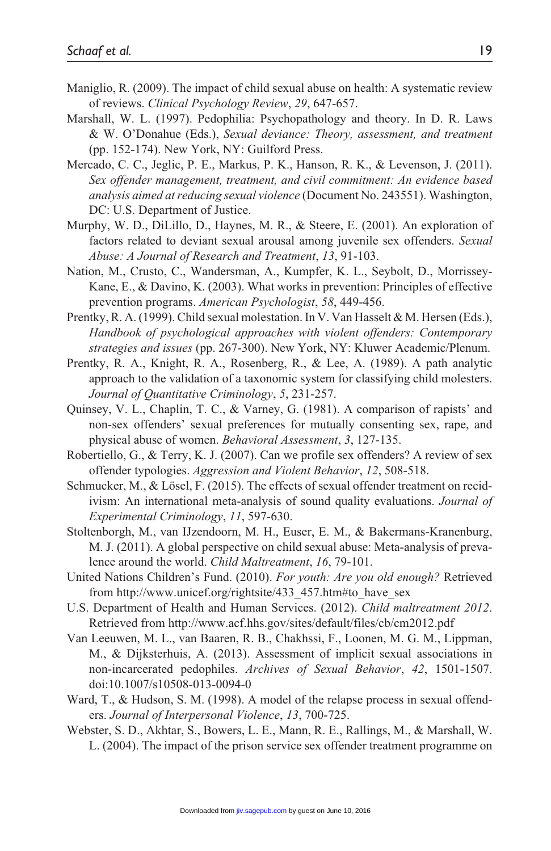- Maniglio, R. (2009). The impact of child sexual abuse on health: A systematic review of reviews. *Clinical Psychology Review*, *29*, 647-657.
- Marshall, W. L. (1997). Pedophilia: Psychopathology and theory. In D. R. Laws & W. O'Donahue (Eds.), *Sexual deviance: Theory, assessment, and treatment* (pp. 152-174). New York, NY: Guilford Press.
- Mercado, C. C., Jeglic, P. E., Markus, P. K., Hanson, R. K., & Levenson, J. (2011). *Sex offender management, treatment, and civil commitment: An evidence based analysis aimed at reducing sexual violence* (Document No. 243551). Washington, DC: U.S. Department of Justice.
- Murphy, W. D., DiLillo, D., Haynes, M. R., & Steere, E. (2001). An exploration of factors related to deviant sexual arousal among juvenile sex offenders. *Sexual Abuse: A Journal of Research and Treatment*, *13*, 91-103.
- Nation, M., Crusto, C., Wandersman, A., Kumpfer, K. L., Seybolt, D., Morrissey-Kane, E., & Davino, K. (2003). What works in prevention: Principles of effective prevention programs. *American Psychologist*, *58*, 449-456.
- Prentky, R. A. (1999). Child sexual molestation. In V. Van Hasselt & M. Hersen (Eds.), *Handbook of psychological approaches with violent offenders: Contemporary strategies and issues* (pp. 267-300). New York, NY: Kluwer Academic/Plenum.
- Prentky, R. A., Knight, R. A., Rosenberg, R., & Lee, A. (1989). A path analytic approach to the validation of a taxonomic system for classifying child molesters. *Journal of Quantitative Criminology*, *5*, 231-257.
- Quinsey, V. L., Chaplin, T. C., & Varney, G. (1981). A comparison of rapists' and non-sex offenders' sexual preferences for mutually consenting sex, rape, and physical abuse of women. *Behavioral Assessment*, *3*, 127-135.
- Robertiello, G., & Terry, K. J. (2007). Can we profile sex offenders? A review of sex offender typologies. *Aggression and Violent Behavior*, *12*, 508-518.
- Schmucker, M., & Lösel, F. (2015). The effects of sexual offender treatment on recidivism: An international meta-analysis of sound quality evaluations. *Journal of Experimental Criminology*, *11*, 597-630.
- Stoltenborgh, M., van IJzendoorn, M. H., Euser, E. M., & Bakermans-Kranenburg, M. J. (2011). A global perspective on child sexual abuse: Meta-analysis of prevalence around the world. *Child Maltreatment*, *16*, 79-101.
- United Nations Children's Fund. (2010). *For youth: Are you old enough?* Retrieved from [http://www.unicef.org/rightsite/433\\_457.htm#to\\_have\\_sex](http://www.unicef.org/rightsite/433_457.htm#to_have_sex)
- U.S. Department of Health and Human Services. (2012). *Child maltreatment 2012*. Retrieved from http://www.acf.hhs.gov/sites/default/files/cb/cm2012.pdf
- Van Leeuwen, M. L., van Baaren, R. B., Chakhssi, F., Loonen, M. G. M., Lippman, M., & Dijksterhuis, A. (2013). Assessment of implicit sexual associations in non-incarcerated pedophiles. *Archives of Sexual Behavior*, *42*, 1501-1507. doi:10.1007/s10508-013-0094-0
- Ward, T., & Hudson, S. M. (1998). A model of the relapse process in sexual offenders. *Journal of Interpersonal Violence*, *13*, 700-725.
- Webster, S. D., Akhtar, S., Bowers, L. E., Mann, R. E., Rallings, M., & Marshall, W. L. (2004). The impact of the prison service sex offender treatment programme on